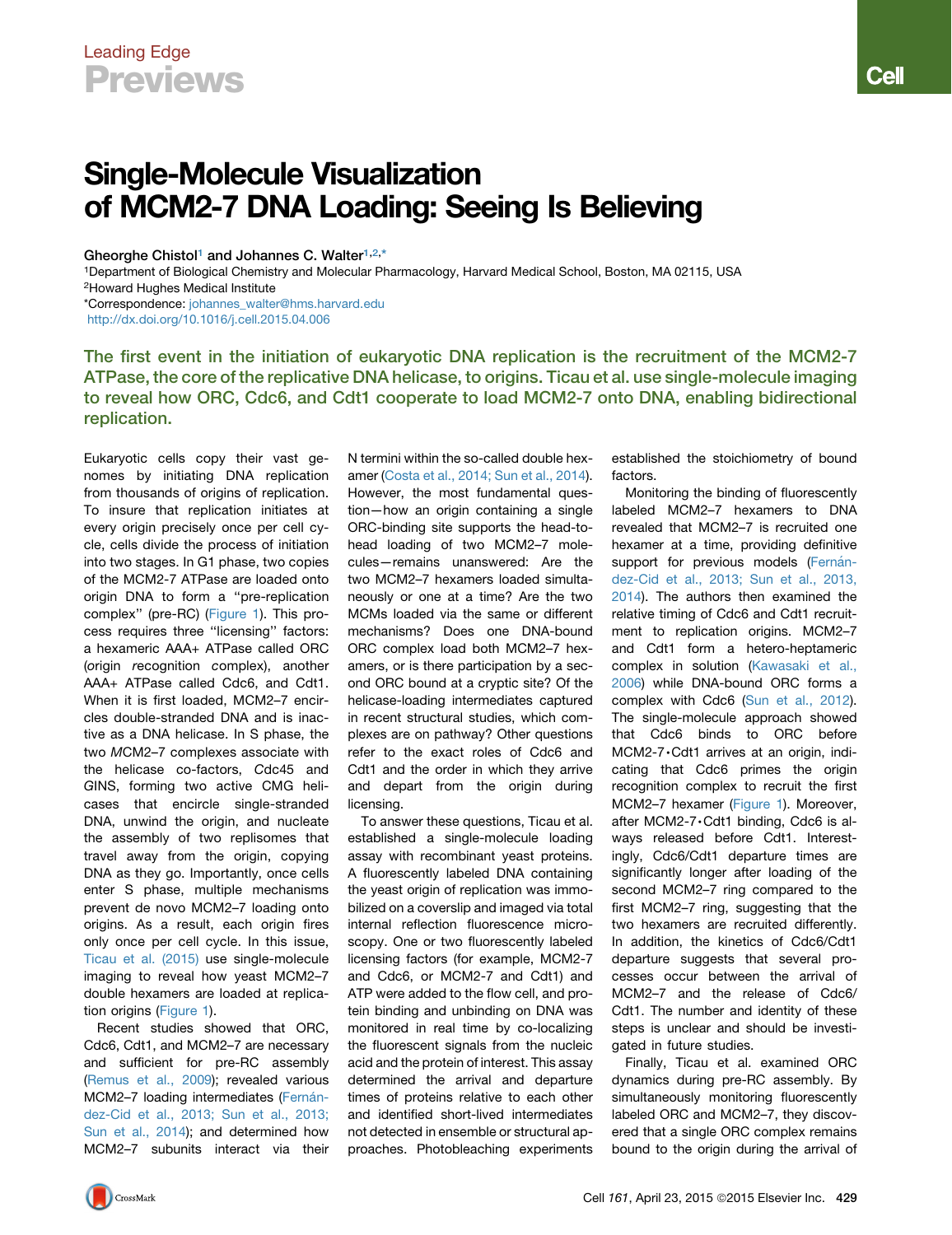## Leading Edge Previews

## Single-Molecule Visualization of MCM2-7 DNA Loading: Seeing Is Believing

Gheorghe Chistol<sup>[1](#page-0-0)</sup> and Johannes C. Walter<sup>1[,2,](#page-0-1)[\\*](#page-0-2)</sup>

<span id="page-0-1"></span><span id="page-0-0"></span>1Department of Biological Chemistry and Molecular Pharmacology, Harvard Medical School, Boston, MA 02115, USA 2Howard Hughes Medical Institute

<span id="page-0-2"></span>\*Correspondence: [johannes\\_walter@hms.harvard.edu](mailto:johannes_walter@hms.harvard.edu) <http://dx.doi.org/10.1016/j.cell.2015.04.006>

The first event in the initiation of eukaryotic DNA replication is the recruitment of the MCM2-7 ATPase, the core of the replicative DNA helicase, to origins. Ticau et al. use single-molecule imaging to reveal how ORC, Cdc6, and Cdt1 cooperate to load MCM2-7 onto DNA, enabling bidirectional replication.

Eukaryotic cells copy their vast genomes by initiating DNA replication from thousands of origins of replication. To insure that replication initiates at every origin precisely once per cell cycle, cells divide the process of initiation into two stages. In G1 phase, two copies of the MCM2-7 ATPase are loaded onto origin DNA to form a ''pre-replication complex'' (pre-RC) [\(Figure 1\)](#page-1-0). This process requires three ''licensing'' factors: a hexameric AAA+ ATPase called ORC (*o*rigin *r*ecognition *c*omplex), another AAA+ ATPase called Cdc6, and Cdt1. When it is first loaded, MCM2–7 encircles double-stranded DNA and is inactive as a DNA helicase. In S phase, the two *M*CM2–7 complexes associate with the helicase co-factors, *C*dc45 and *G*INS, forming two active CMG helicases that encircle single-stranded DNA, unwind the origin, and nucleate the assembly of two replisomes that travel away from the origin, copying DNA as they go. Importantly, once cells enter S phase, multiple mechanisms prevent de novo MCM2–7 loading onto origins. As a result, each origin fires only once per cell cycle. In this issue, [Ticau et al. \(2015\)](#page-1-1) use single-molecule imaging to reveal how yeast MCM2–7 double hexamers are loaded at replication origins [\(Figure 1\)](#page-1-0).

Recent studies showed that ORC, Cdc6, Cdt1, and MCM2–7 are necessary and sufficient for pre-RC assembly [\(Remus et al., 2009](#page-1-2)); revealed various MCM2-7 loading intermediates (Fernán[dez-Cid et al., 2013; Sun et al., 2013;](#page-1-3) [Sun et al., 2014\)](#page-1-3); and determined how MCM2–7 subunits interact via their

N termini within the so-called double hexamer ([Costa et al., 2014; Sun et al., 2014](#page-1-4)). However, the most fundamental question—how an origin containing a single ORC-binding site supports the head-tohead loading of two MCM2–7 molecules—remains unanswered: Are the two MCM2–7 hexamers loaded simultaneously or one at a time? Are the two MCMs loaded via the same or different mechanisms? Does one DNA-bound ORC complex load both MCM2–7 hexamers, or is there participation by a second ORC bound at a cryptic site? Of the helicase-loading intermediates captured in recent structural studies, which complexes are on pathway? Other questions refer to the exact roles of Cdc6 and Cdt1 and the order in which they arrive and depart from the origin during licensing.

To answer these questions, Ticau et al. established a single-molecule loading assay with recombinant yeast proteins. A fluorescently labeled DNA containing the yeast origin of replication was immobilized on a coverslip and imaged via total internal reflection fluorescence microscopy. One or two fluorescently labeled licensing factors (for example, MCM2-7 and Cdc6, or MCM2-7 and Cdt1) and ATP were added to the flow cell, and protein binding and unbinding on DNA was monitored in real time by co-localizing the fluorescent signals from the nucleic acid and the protein of interest. This assay determined the arrival and departure times of proteins relative to each other and identified short-lived intermediates not detected in ensemble or structural approaches. Photobleaching experiments

established the stoichiometry of bound factors.

Monitoring the binding of fluorescently labeled MCM2–7 hexamers to DNA revealed that MCM2–7 is recruited one hexamer at a time, providing definitive support for previous models (Fernán[dez-Cid et al., 2013; Sun et al., 2013,](#page-1-3) [2014\)](#page-1-3). The authors then examined the relative timing of Cdc6 and Cdt1 recruitment to replication origins. MCM2–7 and Cdt1 form a hetero-heptameric complex in solution ([Kawasaki et al.,](#page-1-5) [2006\)](#page-1-5) while DNA-bound ORC forms a complex with Cdc6 ([Sun et al., 2012\)](#page-1-6). The single-molecule approach showed that Cdc6 binds to ORC before MCM2-7,Cdt1 arrives at an origin, indicating that Cdc6 primes the origin recognition complex to recruit the first MCM2–7 hexamer ([Figure 1\)](#page-1-0). Moreover, after MCM2-7·Cdt1 binding, Cdc6 is always released before Cdt1. Interestingly, Cdc6/Cdt1 departure times are significantly longer after loading of the second MCM2–7 ring compared to the first MCM2–7 ring, suggesting that the two hexamers are recruited differently. In addition, the kinetics of Cdc6/Cdt1 departure suggests that several processes occur between the arrival of MCM2–7 and the release of Cdc6/ Cdt1. The number and identity of these steps is unclear and should be investigated in future studies.

Finally, Ticau et al. examined ORC dynamics during pre-RC assembly. By simultaneously monitoring fluorescently labeled ORC and MCM2–7, they discovered that a single ORC complex remains bound to the origin during the arrival of